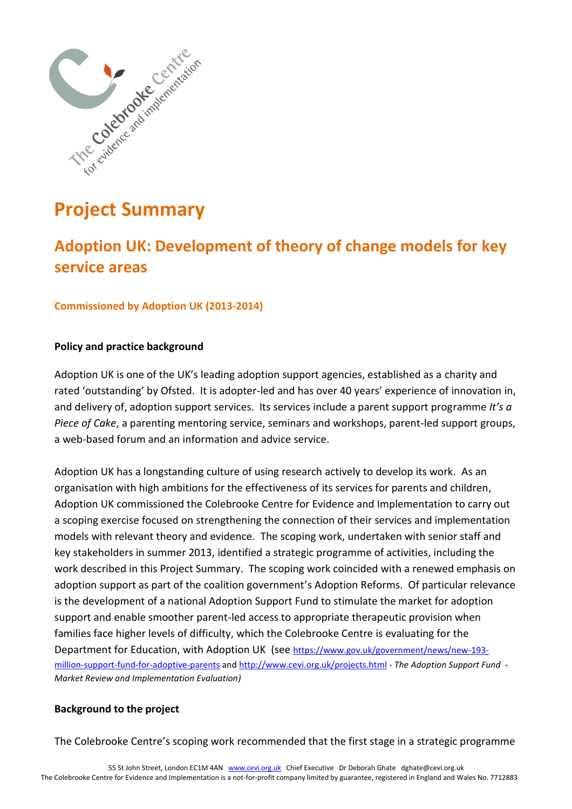

# **Project Summary**

# **Adoption UK: Development of theory of change models for key service areas**

### **Commissioned by Adoption UK (2013-2014)**

#### **Policy and practice background**

Adoption UK is one of the UK's leading adoption support agencies, established as a charity and rated 'outstanding' by Ofsted. It is adopter-led and has over 40 years' experience of innovation in, and delivery of, adoption support services. Its services include a parent support programme *It's a Piece of Cake*, a parenting mentoring service, seminars and workshops, parent-led support groups, a web-based forum and an information and advice service.

Adoption UK has a longstanding culture of using research actively to develop its work. As an organisation with high ambitions for the effectiveness of its services for parents and children, Adoption UK commissioned the Colebrooke Centre for Evidence and Implementation to carry out a scoping exercise focused on strengthening the connection of their services and implementation models with relevant theory and evidence. The scoping work, undertaken with senior staff and key stakeholders in summer 2013, identified a strategic programme of activities, including the work described in this Project Summary. The scoping work coincided with a renewed emphasis on adoption support as part of the coalition government's Adoption Reforms. Of particular relevance is the development of a national Adoption Support Fund to stimulate the market for adoption support and enable smoother parent-led access to appropriate therapeutic provision when families face higher levels of difficulty, which the Colebrooke Centre is evaluating for the Department for Education, with Adoption UK (see [https://www.gov.uk/government/news/new-193](https://www.gov.uk/government/news/new-193-million-support-fund-for-adoptive-parents) [million-support-fund-for-adoptive-parents](https://www.gov.uk/government/news/new-193-million-support-fund-for-adoptive-parents) an[d http://www.cevi.org.uk/projects.html](http://www.cevi.org.uk/projects.html) *- The Adoption Support Fund - Market Review and Implementation Evaluation)*

#### **Background to the project**

The Colebrooke Centre's scoping work recommended that the first stage in a strategic programme